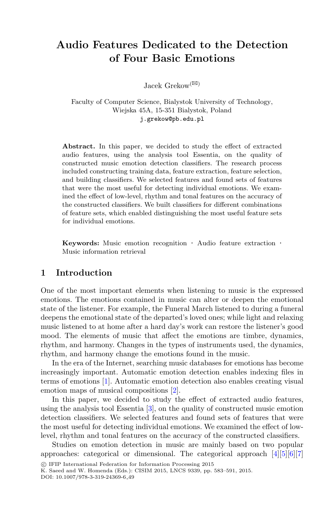# **Audio Features Dedicated to the Detection of Four Basic Emotions**

Jacek Grekow<sup>( $\boxtimes$ )</sup>

Faculty of Computer Science, Bialystok University of Technology, Wiejska 45A, 15-351 Bialystok, Poland j.grekow@pb.edu.pl

**Abstract.** In this paper, we decided to study the effect of extracted audio features, using the analysis tool Essentia, on the quality of constructed music emotion detection classifiers. The research process included constructing training data, feature extraction, feature selection, and building classifiers. We selected features and found sets of features that were the most useful for detecting individual emotions. We examined the effect of low-level, rhythm and tonal features on the accuracy of the constructed classifiers. We built classifiers for different combinations of feature sets, which enabled distinguishing the most useful feature sets for individual emotions.

**Keywords:** Music emotion recognition *·* Audio feature extraction *·* Music information retrieval

### **1 Introduction**

One of the most important elements when listening to music is the expressed emotions. The emotions contained in music can alter or deepen the emotional state of the listener. For example, the Funeral March listened to during a funeral deepens the emotional state of the departed's loved ones; while light and relaxing music listened to at home after a hard day's work can restore the listener's good mood. The elements of music that affect the emotions are timbre, dynamics, rhythm, and harmony. Changes in the types of instruments used, the dynamics, rhythm, and harmony change the emotions found in the music.

In the era of the Internet, searching music databases for emotions has become increasingly important. Automatic emotion detection enables indexing files in terms of emotions [\[1](#page-7-0)]. Automatic emotion detection also enables creating visual emotion maps of musical compositions [\[2](#page-7-1)].

In this paper, we decided to study the effect of extracted audio features, using the analysis tool Essentia [\[3](#page-7-2)], on the quality of constructed music emotion detection classifiers. We selected features and found sets of features that were the most useful for detecting individual emotions. We examined the effect of lowlevel, rhythm and tonal features on the accuracy of the constructed classifiers.

Studies on emotion detection in music are mainly based on two popular approaches: categorical or dimensional. The categorical approach [\[4](#page-7-3)][\[5\]](#page-7-4)[\[6](#page-7-5)][\[7\]](#page-7-6)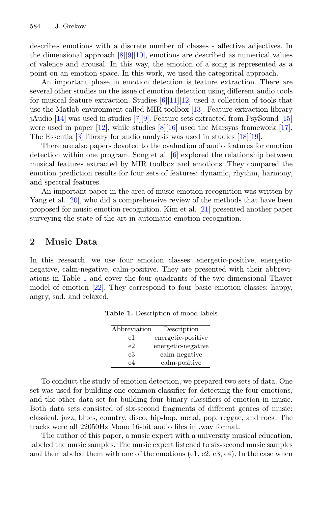describes emotions with a discrete number of classes - affective adjectives. In the dimensional approach [\[8](#page-8-0)][\[9\]](#page-8-1)[\[10](#page-8-2)], emotions are described as numerical values of valence and arousal. In this way, the emotion of a song is represented as a point on an emotion space. In this work, we used the categorical approach.

An important phase in emotion detection is feature extraction. There are several other studies on the issue of emotion detection using different audio tools for musical feature extraction. Studies  $[6][11][12]$  $[6][11][12]$  $[6][11][12]$  $[6][11][12]$  used a collection of tools that use the Matlab environment called MIR toolbox [\[13](#page-8-5)]. Feature extraction library jAudio [\[14](#page-8-6)] was used in studies [\[7](#page-7-6)][\[9\]](#page-8-1). Feature sets extracted from PsySound [\[15](#page-8-7)] were used in paper  $[12]$ , while studies  $[8][16]$  $[8][16]$  $[8][16]$  used the Marsyas framework  $[17]$ . The Essentia [\[3\]](#page-7-2) library for audio analysis was used in studies [\[18\]](#page-8-10)[\[19](#page-8-11)].

There are also papers devoted to the evaluation of audio features for emotion detection within one program. Song et al. [\[6](#page-7-5)] explored the relationship between musical features extracted by MIR toolbox and emotions. They compared the emotion prediction results for four sets of features: dynamic, rhythm, harmony, and spectral features.

An important paper in the area of music emotion recognition was written by Yang et al. [\[20](#page-8-12)], who did a comprehensive review of the methods that have been proposed for music emotion recognition. Kim et al. [\[21\]](#page-8-13) presented another paper surveying the state of the art in automatic emotion recognition.

### **2 Music Data**

In this research, we use four emotion classes: energetic-positive, energeticnegative, calm-negative, calm-positive. They are presented with their abbreviations in Table [1](#page-1-0) and cover the four quadrants of the two-dimensional Thayer model of emotion [\[22\]](#page-8-14). They correspond to four basic emotion classes: happy, angry, sad, and relaxed.

| Abbreviation | Description        |
|--------------|--------------------|
| e1           | energetic-positive |
| е2           | energetic-negative |
| e3           | calm-negative      |
| e4           | calm-positive      |

<span id="page-1-0"></span>**Table 1.** Description of mood labels

To conduct the study of emotion detection, we prepared two sets of data. One set was used for building one common classifier for detecting the four emotions, and the other data set for building four binary classifiers of emotion in music. Both data sets consisted of six-second fragments of different genres of music: classical, jazz, blues, country, disco, hip-hop, metal, pop, reggae, and rock. The tracks were all 22050Hz Mono 16-bit audio files in .wav format.

The author of this paper, a music expert with a university musical education, labeled the music samples. The music expert listened to six-second music samples and then labeled them with one of the emotions  $(e1, e2, e3, e4)$ . In the case when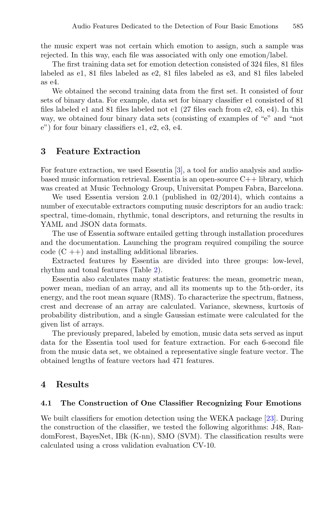the music expert was not certain which emotion to assign, such a sample was rejected. In this way, each file was associated with only one emotion/label.

The first training data set for emotion detection consisted of 324 files, 81 files labeled as e1, 81 files labeled as e2, 81 files labeled as e3, and 81 files labeled as e4.

We obtained the second training data from the first set. It consisted of four sets of binary data. For example, data set for binary classifier e1 consisted of 81 files labeled e1 and 81 files labeled not e1 (27 files each from e2, e3, e4). In this way, we obtained four binary data sets (consisting of examples of "e" and "not e") for four binary classifiers e1, e2, e3, e4.

### **3 Feature Extraction**

For feature extraction, we used Essentia [\[3\]](#page-7-2), a tool for audio analysis and audiobased music information retrieval. Essentia is an open-source C++ library, which was created at Music Technology Group, Universitat Pompeu Fabra, Barcelona.

We used Essentia version 2.0.1 (published in  $02/2014$ ), which contains a number of executable extractors computing music descriptors for an audio track: spectral, time-domain, rhythmic, tonal descriptors, and returning the results in YAML and JSON data formats.

The use of Essentia software entailed getting through installation procedures and the documentation. Launching the program required compiling the source code  $(C ++)$  and installing additional libraries.

Extracted features by Essentia are divided into three groups: low-level, rhythm and tonal features (Table [2\)](#page-3-0).

Essentia also calculates many statistic features: the mean, geometric mean, power mean, median of an array, and all its moments up to the 5th-order, its energy, and the root mean square (RMS). To characterize the spectrum, flatness, crest and decrease of an array are calculated. Variance, skewness, kurtosis of probability distribution, and a single Gaussian estimate were calculated for the given list of arrays.

The previously prepared, labeled by emotion, music data sets served as input data for the Essentia tool used for feature extraction. For each 6-second file from the music data set, we obtained a representative single feature vector. The obtained lengths of feature vectors had 471 features.

### **4 Results**

### $4.1$ **4.1 The Construction of One Classifier Recognizing Four Emotions**

We built classifiers for emotion detection using the WEKA package [\[23\]](#page-8-15). During the construction of the classifier, we tested the following algorithms: J48, RandomForest, BayesNet, IBk (K-nn), SMO (SVM). The classification results were calculated using a cross validation evaluation CV-10.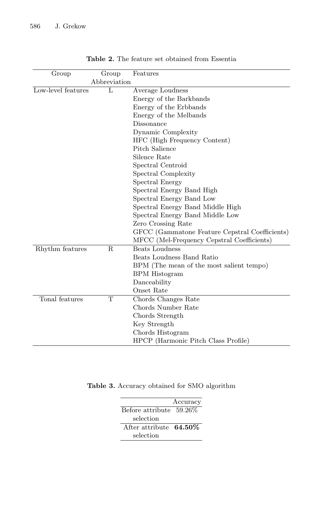| Group              | Group        | Features                                       |
|--------------------|--------------|------------------------------------------------|
|                    | Abbreviation |                                                |
| Low-level features |              | Average Loudness                               |
|                    |              | Energy of the Barkbands                        |
|                    |              | Energy of the Erbbands                         |
|                    |              | Energy of the Melbands                         |
|                    |              | Dissonance                                     |
|                    |              | Dynamic Complexity                             |
|                    |              | HFC (High Frequency Content)                   |
|                    |              | Pitch Salience                                 |
|                    |              | Silence Rate                                   |
|                    |              | Spectral Centroid                              |
|                    |              | Spectral Complexity                            |
|                    |              | Spectral Energy                                |
|                    |              | Spectral Energy Band High                      |
|                    |              | Spectral Energy Band Low                       |
|                    |              | Spectral Energy Band Middle High               |
|                    |              | Spectral Energy Band Middle Low                |
|                    |              | Zero Crossing Rate                             |
|                    |              | GFCC (Gammatone Feature Cepstral Coefficients) |
|                    |              | MFCC (Mel-Frequency Cepstral Coefficients)     |
| Rhythm features    | R            | Beats Loudness                                 |
|                    |              | Beats Loudness Band Ratio                      |
|                    |              | BPM (The mean of the most salient tempo)       |
|                    |              | <b>BPM</b> Histogram                           |
|                    |              | Danceability                                   |
|                    |              | Onset Rate                                     |
| Tonal features     | T            | Chords Changes Rate                            |
|                    |              | Chords Number Rate                             |
|                    |              | Chords Strength                                |
|                    |              | Key Strength                                   |
|                    |              | Chords Histogram                               |
|                    |              | HPCP (Harmonic Pitch Class Profile)            |

<span id="page-3-0"></span>**Table 2.** The feature set obtained from Essentia

<span id="page-3-1"></span>**Table 3.** Accuracy obtained for SMO algorithm

|                           | Accuracy |
|---------------------------|----------|
| Before attribute 59.26\%  |          |
| selection                 |          |
| After attribute $64.50\%$ |          |
| selection                 |          |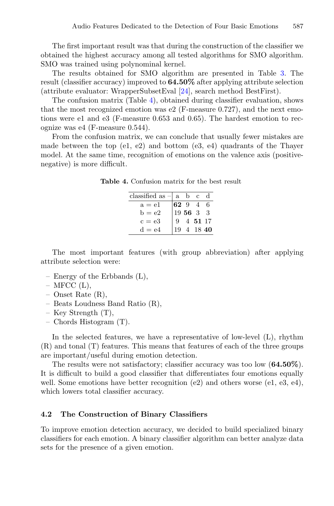The first important result was that during the construction of the classifier we obtained the highest accuracy among all tested algorithms for SMO algorithm. SMO was trained using polynominal kernel.

The results obtained for SMO algorithm are presented in Table [3.](#page-3-1) The result (classifier accuracy) improved to **64.50%** after applying attribute selection (attribute evaluator: WrapperSubsetEval [\[24\]](#page-8-16), search method BestFirst).

The confusion matrix (Table [4\)](#page-4-0), obtained during classifier evaluation, shows that the most recognized emotion was e2 (F-measure 0.727), and the next emotions were e1 and e3 (F-measure 0.653 and 0.65). The hardest emotion to recognize was e4 (F-measure 0.544).

From the confusion matrix, we can conclude that usually fewer mistakes are made between the top  $(e1, e2)$  and bottom  $(e3, e4)$  quadrants of the Thayer model. At the same time, recognition of emotions on the valence axis (positivenegative) is more difficult.

<span id="page-4-0"></span>**Table 4.** Confusion matrix for the best result

| classified as $- a b c $ |     |     |                                                                                       |
|--------------------------|-----|-----|---------------------------------------------------------------------------------------|
| $a = e1$                 | 629 | 4 6 |                                                                                       |
| $b = e2$                 |     |     |                                                                                       |
| $c = e3$                 |     |     |                                                                                       |
| $d = e4$                 |     |     | $\begin{bmatrix} 19 & 56 & 3 & 3 \\ 9 & 4 & 51 & 17 \\ 9 & 4 & 18 & 40 \end{bmatrix}$ |

The most important features (with group abbreviation) after applying attribute selection were:

- Energy of the Erbbands (L),
- $-$  MFCC  $(L)$ ,
- Onset Rate  $(R)$ ,
- Beats Loudness Band Ratio (R),
- Key Strength (T),
- Chords Histogram (T).

In the selected features, we have a representative of low-level (L), rhythm (R) and tonal (T) features. This means that features of each of the three groups are important/useful during emotion detection.

The results were not satisfactory; classifier accuracy was too low (**64.50%**). It is difficult to build a good classifier that differentiates four emotions equally well. Some emotions have better recognition  $(e2)$  and others worse  $(e1, e3, e4)$ , which lowers total classifier accuracy.

### 4.2 **4.2 The Construction of Binary Classifiers**

To improve emotion detection accuracy, we decided to build specialized binary classifiers for each emotion. A binary classifier algorithm can better analyze data sets for the presence of a given emotion.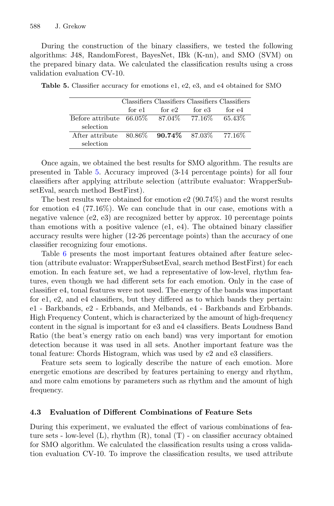During the construction of the binary classifiers, we tested the following algorithms: J48, RandomForest, BayesNet, IBk (K-nn), and SMO (SVM) on the prepared binary data. We calculated the classification results using a cross validation evaluation CV-10.

|                                                  |        | Classifiers Classifiers Classifiers Classifiers |        |          |
|--------------------------------------------------|--------|-------------------------------------------------|--------|----------|
|                                                  | for el | for e2                                          | for e3 | for $e4$ |
| Before attribute 66.05\% 87.04\% 77.16\% 65.43\% |        |                                                 |        |          |
| selection                                        |        |                                                 |        |          |
| After attribute 80.86\% 90.74\% 87.03\% 77.16\%  |        |                                                 |        |          |
| selection                                        |        |                                                 |        |          |

<span id="page-5-0"></span>**Table 5.** Classifier accuracy for emotions e1, e2, e3, and e4 obtained for SMO

Once again, we obtained the best results for SMO algorithm. The results are presented in Table [5.](#page-5-0) Accuracy improved (3-14 percentage points) for all four classifiers after applying attribute selection (attribute evaluator: WrapperSubsetEval, search method BestFirst).

The best results were obtained for emotion e2 (90.74%) and the worst results for emotion e4 (77.16%). We can conclude that in our case, emotions with a negative valence (e2, e3) are recognized better by approx. 10 percentage points than emotions with a positive valence (e1, e4). The obtained binary classifier accuracy results were higher (12-26 percentage points) than the accuracy of one classifier recognizing four emotions.

Table [6](#page-6-0) presents the most important features obtained after feature selection (attribute evaluator: WrapperSubsetEval, search method BestFirst) for each emotion. In each feature set, we had a representative of low-level, rhythm features, even though we had different sets for each emotion. Only in the case of classifier e4, tonal features were not used. The energy of the bands was important for e1, e2, and e4 classifiers, but they differed as to which bands they pertain: e1 - Barkbands, e2 - Erbbands, and Melbands, e4 - Barkbands and Erbbands. High Frequency Content, which is characterized by the amount of high-frequency content in the signal is important for e3 and e4 classifiers. Beats Loudness Band Ratio (the beat's energy ratio on each band) was very important for emotion detection because it was used in all sets. Another important feature was the tonal feature: Chords Histogram, which was used by e2 and e3 classifiers.

Feature sets seem to logically describe the nature of each emotion. More energetic emotions are described by features pertaining to energy and rhythm, and more calm emotions by parameters such as rhythm and the amount of high frequency.

#### 4.3 Evaluation of Different Combinations of Feature Sets

During this experiment, we evaluated the effect of various combinations of feature sets - low-level  $(L)$ , rhythm  $(R)$ , tonal  $(T)$  - on classifier accuracy obtained for SMO algorithm. We calculated the classification results using a cross validation evaluation CV-10. To improve the classification results, we used attribute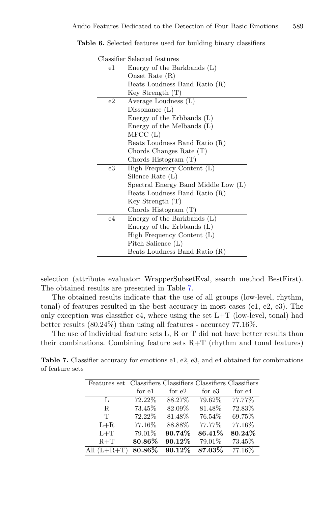|    | Classifier Selected features        |  |  |  |  |
|----|-------------------------------------|--|--|--|--|
| e1 | Energy of the Barkbands (L)         |  |  |  |  |
|    | Onset Rate (R)                      |  |  |  |  |
|    | Beats Loudness Band Ratio (R)       |  |  |  |  |
|    | Key Strength $(T)$                  |  |  |  |  |
| e2 | Average Loudness (L)                |  |  |  |  |
|    | Dissonance $(L)$                    |  |  |  |  |
|    | Energy of the Erbbands (L)          |  |  |  |  |
|    | Energy of the Melbands (L)          |  |  |  |  |
|    | MFCC (L)                            |  |  |  |  |
|    | Beats Loudness Band Ratio (R)       |  |  |  |  |
|    | Chords Changes Rate (T)             |  |  |  |  |
|    | Chords Histogram (T)                |  |  |  |  |
| e3 | High Frequency Content (L)          |  |  |  |  |
|    | Silence Rate (L)                    |  |  |  |  |
|    | Spectral Energy Band Middle Low (L) |  |  |  |  |
|    | Beats Loudness Band Ratio (R)       |  |  |  |  |
|    | Key Strength $(T)$                  |  |  |  |  |
|    | Chords Histogram (T)                |  |  |  |  |
| e4 | Energy of the Barkbands (L)         |  |  |  |  |
|    | Energy of the Erbbands $(L)$        |  |  |  |  |
|    | High Frequency Content (L)          |  |  |  |  |
|    | Pitch Salience (L)                  |  |  |  |  |
|    | Beats Loudness Band Ratio (R)       |  |  |  |  |

<span id="page-6-0"></span>**Table 6.** Selected features used for building binary classifiers

selection (attribute evaluator: WrapperSubsetEval, search method BestFirst). The obtained results are presented in Table [7.](#page-6-1)

The obtained results indicate that the use of all groups (low-level, rhythm, tonal) of features resulted in the best accuracy in most cases (e1, e2, e3). The only exception was classifier e4, where using the set  $L+T$  (low-level, tonal) had better results (80.24%) than using all features - accuracy 77.16%.

The use of individual feature sets L, R or T did not have better results than their combinations. Combining feature sets R+T (rhythm and tonal features)

<span id="page-6-1"></span>**Table 7.** Classifier accuracy for emotions e1, e2, e3, and e4 obtained for combinations of feature sets

| Features set Classifiers Classifiers Classifiers Classifiers |        |          |          |        |
|--------------------------------------------------------------|--------|----------|----------|--------|
|                                                              | for e1 | for $e2$ | for $e3$ | for e4 |
| L                                                            | 72.22% | 88.27%   | 79.62%   | 77.77% |
| R.                                                           | 73.45% | 82.09%   | 81.48%   | 72.83% |
| T                                                            | 72.22% | 81.48%   | 76.54%   | 69.75% |
| $L + R$                                                      | 77.16% | 88.88%   | 77.77%   | 77.16% |
| $L+T$                                                        | 79.01% | 90.74%   | 86.41%   | 80.24% |
| $R+T$                                                        | 80.86% | 90.12%   | 79.01%   | 73.45% |
| All $(L+R+T)$                                                | 80.86% | 90.12%   | 87.03%   | 77.16% |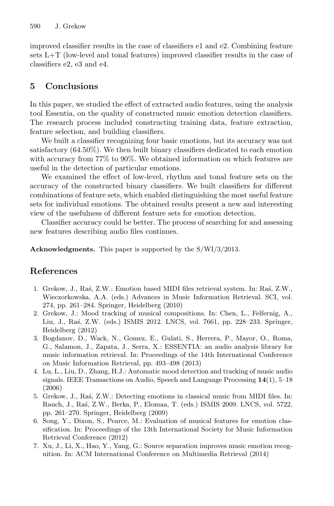improved classifier results in the case of classifiers e1 and e2. Combining feature sets L+T (low-level and tonal features) improved classifier results in the case of classifiers e2, e3 and e4.

## **5 Conclusions**

In this paper, we studied the effect of extracted audio features, using the analysis tool Essentia, on the quality of constructed music emotion detection classifiers. The research process included constructing training data, feature extraction, feature selection, and building classifiers.

We built a classifier recognizing four basic emotions, but its accuracy was not satisfactory (64.50%). We then built binary classifiers dedicated to each emotion with accuracy from 77% to 90%. We obtained information on which features are useful in the detection of particular emotions.

We examined the effect of low-level, rhythm and tonal feature sets on the accuracy of the constructed binary classifiers. We built classifiers for different combinations of feature sets, which enabled distinguishing the most useful feature sets for individual emotions. The obtained results present a new and interesting view of the usefulness of different feature sets for emotion detection.

Classifier accuracy could be better. The process of searching for and assessing new features describing audio files continues.

**Acknowledgments.** This paper is supported by the S/WI/3/2013.

## **References**

- <span id="page-7-0"></span>1. Grekow, J., Ras, Z.W.: Emotion based MIDI files retrieval system. In: Ras, Z.W., Wieczorkowska, A.A. (eds.) Advances in Music Information Retrieval. SCI, vol. 274, pp. 261–284. Springer, Heidelberg (2010)
- <span id="page-7-1"></span>2. Grekow, J.: Mood tracking of musical compositions. In: Chen, L., Felfernig, A., Liu, J., Raś, Z.W. (eds.) ISMIS 2012. LNCS, vol. 7661, pp. 228–233. Springer, Heidelberg (2012)
- <span id="page-7-2"></span>3. Bogdanov, D., Wack, N., Gomez, E., Gulati, S., Herrera, P., Mayor, O., Roma, G., Salamon, J., Zapata, J., Serra, X.: ESSENTIA: an audio analysis library for music information retrieval. In: Proceedings of the 14th International Conference on Music Information Retrieval, pp. 493–498 (2013)
- <span id="page-7-3"></span>4. Lu, L., Liu, D., Zhang, H.J.: Automatic mood detection and tracking of music audio signals. IEEE Transactions on Audio, Speech and Language Processing **14**(1), 5–18 (2006)
- <span id="page-7-4"></span>5. Grekow, J., Ra´s, Z.W.: Detecting emotions in classical music from MIDI files. In: Rauch, J., Ra´s, Z.W., Berka, P., Elomaa, T. (eds.) ISMIS 2009. LNCS, vol. 5722, pp. 261–270. Springer, Heidelberg (2009)
- <span id="page-7-5"></span>6. Song, Y., Dixon, S., Pearce, M.: Evaluation of musical features for emotion classification. In: Proceedings of the 13th International Society for Music Information Retrieval Conference (2012)
- <span id="page-7-6"></span>7. Xu, J., Li, X., Hao, Y., Yang, G.: Source separation improves music emotion recognition. In: ACM International Conference on Multimedia Retrieval (2014)